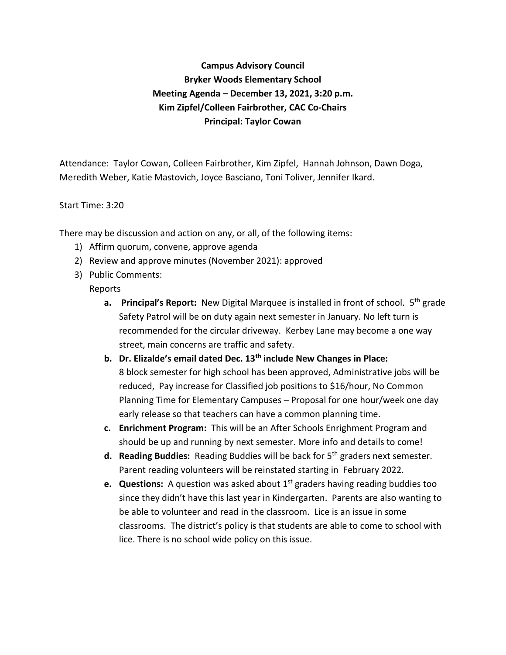# **Campus Advisory Council Bryker Woods Elementary School Meeting Agenda – December 13, 2021, 3:20 p.m. Kim Zipfel/Colleen Fairbrother, CAC Co-Chairs Principal: Taylor Cowan**

Attendance: Taylor Cowan, Colleen Fairbrother, Kim Zipfel, Hannah Johnson, Dawn Doga, Meredith Weber, Katie Mastovich, Joyce Basciano, Toni Toliver, Jennifer Ikard.

#### Start Time: 3:20

There may be discussion and action on any, or all, of the following items:

- 1) Affirm quorum, convene, approve agenda
- 2) Review and approve minutes (November 2021): approved
- 3) Public Comments:

#### Reports

- **a.** Principal's Report: New Digital Marquee is installed in front of school. 5<sup>th</sup> grade Safety Patrol will be on duty again next semester in January. No left turn is recommended for the circular driveway. Kerbey Lane may become a one way street, main concerns are traffic and safety.
- **b. Dr. Elizalde's email dated Dec. 13th include New Changes in Place:** 8 block semester for high school has been approved, Administrative jobs will be reduced, Pay increase for Classified job positions to \$16/hour, No Common Planning Time for Elementary Campuses – Proposal for one hour/week one day early release so that teachers can have a common planning time.
- **c. Enrichment Program:** This will be an After Schools Enrighment Program and should be up and running by next semester. More info and details to come!
- **d. Reading Buddies:** Reading Buddies will be back for 5th graders next semester. Parent reading volunteers will be reinstated starting in February 2022.
- **e.** Questions: A question was asked about 1<sup>st</sup> graders having reading buddies too since they didn't have this last year in Kindergarten. Parents are also wanting to be able to volunteer and read in the classroom. Lice is an issue in some classrooms. The district's policy is that students are able to come to school with lice. There is no school wide policy on this issue.